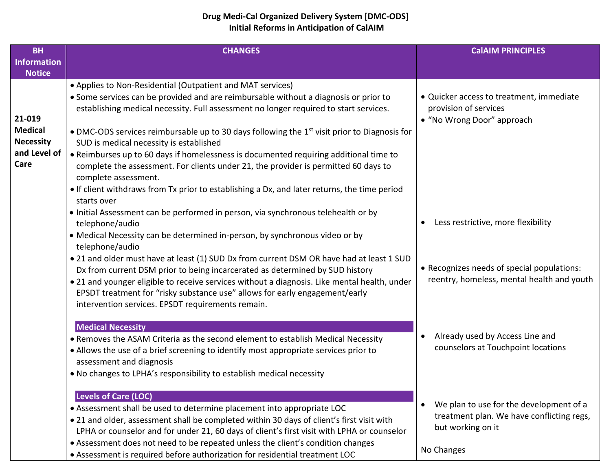## **Drug Medi-Cal Organized Delivery System [DMC-ODS] Initial Reforms in Anticipation of CalAIM**

| <b>BH</b>          | <b>CHANGES</b>                                                                                                                                     | <b>CalAIM PRINCIPLES</b>                             |
|--------------------|----------------------------------------------------------------------------------------------------------------------------------------------------|------------------------------------------------------|
| <b>Information</b> |                                                                                                                                                    |                                                      |
| <b>Notice</b>      |                                                                                                                                                    |                                                      |
|                    | • Applies to Non-Residential (Outpatient and MAT services)<br>• Some services can be provided and are reimbursable without a diagnosis or prior to | • Quicker access to treatment, immediate             |
|                    | establishing medical necessity. Full assessment no longer required to start services.                                                              | provision of services                                |
| 21-019             |                                                                                                                                                    | • "No Wrong Door" approach                           |
| <b>Medical</b>     | • DMC-ODS services reimbursable up to 30 days following the 1 <sup>st</sup> visit prior to Diagnosis for                                           |                                                      |
| <b>Necessity</b>   | SUD is medical necessity is established                                                                                                            |                                                      |
| and Level of       | • Reimburses up to 60 days if homelessness is documented requiring additional time to                                                              |                                                      |
| Care               | complete the assessment. For clients under 21, the provider is permitted 60 days to                                                                |                                                      |
|                    | complete assessment.                                                                                                                               |                                                      |
|                    | • If client withdraws from Tx prior to establishing a Dx, and later returns, the time period                                                       |                                                      |
|                    | starts over                                                                                                                                        |                                                      |
|                    | · Initial Assessment can be performed in person, via synchronous telehealth or by<br>telephone/audio                                               | Less restrictive, more flexibility                   |
|                    | • Medical Necessity can be determined in-person, by synchronous video or by                                                                        |                                                      |
|                    | telephone/audio                                                                                                                                    |                                                      |
|                    | . 21 and older must have at least (1) SUD Dx from current DSM OR have had at least 1 SUD                                                           |                                                      |
|                    | Dx from current DSM prior to being incarcerated as determined by SUD history                                                                       | • Recognizes needs of special populations:           |
|                    | • 21 and younger eligible to receive services without a diagnosis. Like mental health, under                                                       | reentry, homeless, mental health and youth           |
|                    | EPSDT treatment for "risky substance use" allows for early engagement/early                                                                        |                                                      |
|                    | intervention services. EPSDT requirements remain.                                                                                                  |                                                      |
|                    | <b>Medical Necessity</b>                                                                                                                           |                                                      |
|                    | • Removes the ASAM Criteria as the second element to establish Medical Necessity                                                                   | Already used by Access Line and                      |
|                    | • Allows the use of a brief screening to identify most appropriate services prior to                                                               | counselors at Touchpoint locations                   |
|                    | assessment and diagnosis                                                                                                                           |                                                      |
|                    | . No changes to LPHA's responsibility to establish medical necessity                                                                               |                                                      |
|                    |                                                                                                                                                    |                                                      |
|                    | <b>Levels of Care (LOC)</b><br>• Assessment shall be used to determine placement into appropriate LOC                                              | We plan to use for the development of a<br>$\bullet$ |
|                    | • 21 and older, assessment shall be completed within 30 days of client's first visit with                                                          | treatment plan. We have conflicting regs,            |
|                    | LPHA or counselor and for under 21, 60 days of client's first visit with LPHA or counselor                                                         | but working on it                                    |
|                    | • Assessment does not need to be repeated unless the client's condition changes                                                                    |                                                      |
|                    | • Assessment is required before authorization for residential treatment LOC                                                                        | No Changes                                           |